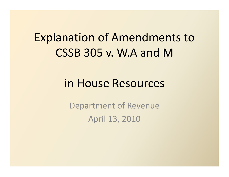## Explanation of Amendments to  $CSSB 305 v. W.A and M$

## in House Resources

Department of Revenue April 13, 2010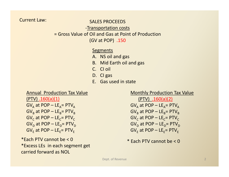Current Law:

SALES PROCEEDS

‐Transportation costs

= Gross Value of Oil and Gas at Point of Production

(GV at POP) .150

### **Segments**

- A. NS oil and gas
- B. Mid Earth oil and gas
- C. CI oil
- D. CI gas
- E. Gas used in state

#### Annual Production Tax Value

 $(PTV) .160(a)(1)$ 

 $\mathsf{GV}_\mathsf{A}$  at POP – LE $_\mathsf{A}$ = PTV $_\mathsf{A}$  $\mathsf{GV}_\mathsf{B}$  at POP – LE $_\mathsf{B}$ = PTV $_\mathsf{B}$  $\mathsf{GV}_\mathsf{C}$  at POP – LE $_\mathsf{C}$ = PTV $_\mathsf{C}$  $\mathsf{GV}_\mathsf{D}$  at POP – LE $_\mathsf{D}$ = PTV $_\mathsf{D}$  $\mathsf{GV}_\mathsf{E}$  at POP – LE $_\mathsf{E}$ = PTV $_\mathsf{E}$ 

 $*$ Each PTV cannot be < 0  $*$  Each PTV cannot be < 0  $*$ \*Excess LEs in each segment get carried forward as NOL

#### Monthly Production Tax Value

 $(PTV)$  .160(a)(2) <u>(PTV) .160(a)(2)</u><br>GV<sub>A</sub> at POP – LE<sub>A</sub>= PTV<sub>A</sub>  $\mathsf{GV}_\mathsf{B}$  at POP – LE $_\mathsf{B}$ = PTV $_\mathsf{B}$  $\mathsf{GV}_\mathsf{C}$  at POP – LE $_\mathsf{C}$ = PTV $_\mathsf{C}$  $\mathsf{GV}_\mathsf{D}$  at POP – LE $_\mathsf{D}$ = PTV $_\mathsf{D}$  $\mathsf{GV}_\mathsf{E}$  at POP – LE $_\mathsf{E}$ = PTV $_\mathsf{E}$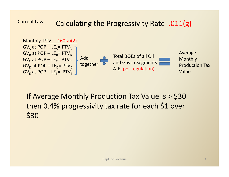Current Law: Calculating the Progressivity Rate .011(g)



If Average Monthly Production Tax Value is <sup>&</sup>gt; \$30 then 0.4% progressivity tax rate for each \$1 over \$30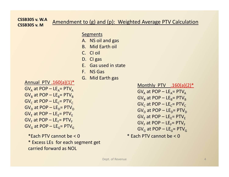#### **CSSB305 v. W.ACSSB305 v. M**Amendment to (g) and (p): Weighted Average PTV Calculation

S Segments

- A. NS oil and gas
- B. Mid Earth oil
- C. CI oil
- D. CI gas
- E. Gas used in state
- F. NS Gas
- G. Mid Earth gas

Annual PTV .160(a)(1)\*

| $GV_A$ at POP – LE <sub>A</sub> = PTV <sub>A</sub> | <u>Wolution</u> PIV. <u>.160(d)</u>                |
|----------------------------------------------------|----------------------------------------------------|
| $GV_B$ at POP – LE <sub>B</sub> = PTV <sub>B</sub> | $GV_A$ at POP – LE <sub>A</sub> = PTV <sub>B</sub> |
| $GV_C$ at POP – LE <sub>C</sub> = PTV <sub>C</sub> | $GV_C$ at POP – LE <sub>C</sub> = PTV <sub>B</sub> |
| $GV_B$ at POP – LE <sub>E</sub> = PTV <sub>D</sub> | $GV_C$ at POP – LE <sub>C</sub> = PTV <sub>C</sub> |
| $GV_E$ at POP – LE <sub>E</sub> = PTV <sub>E</sub> | $GV_C$ at POP – LE <sub>E</sub> = PTV <sub>C</sub> |
| $GV_E$ at POP – LE <sub>E</sub> = PTV <sub>E</sub> | $GV_E$ at POP – LE <sub>E</sub> = PTV <sub>E</sub> |
| $GV_G$ at POP – LE <sub>E</sub> = PTV <sub>C</sub> | $GV_E$ at POP – LE <sub>E</sub> = PTV <sub>E</sub> |

\*Each PTV cannot be <sup>&</sup>lt; 0 \* Excess LEs for each segment get g g

carried forward as NOL

Monthly PTV 
$$
160(a)(2)^*
$$

\nGV<sub>A</sub> at POP – LE<sub>A</sub> = PTV<sub>A</sub>

\nGV<sub>B</sub> at POP – LE<sub>B</sub> = PTV<sub>B</sub>

\nGV<sub>C</sub> at POP – LE<sub>C</sub> = PTV<sub>C</sub>

\nGV<sub>D</sub> at POP – LE<sub>D</sub> = PTV<sub>D</sub>

\nGV<sub>E</sub> at POP – LE<sub>E</sub> = PTV<sub>E</sub>

\nGV<sub>F</sub> at POP – LE<sub>F</sub> = PTV<sub>F</sub>

\nGV<sub>G</sub> at POP – LE<sub>F</sub> = PTV<sub>F</sub>

\nGV<sub>G</sub> at POP – LE<sub>G</sub> = PTV<sub>G</sub>

\n\* Each PTV cannot be < 0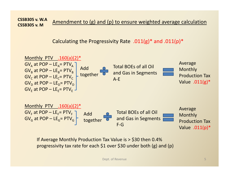**CSSB305 v. W.ACSSB305 v. M**Amendment to (g) and (p) to ensure weighted average calculation

Calculating the Progressivity Rate .011(g)\* and .011(p)\*



If Average Monthly Production Tax Value is <sup>&</sup>gt; \$30 then 0.4% progressivity tax rate for each \$1 over \$30 under both  $(g)$  and  $(p)$ 

**Dept. of Revenue** 5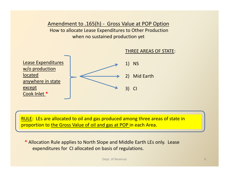Amendment to .165(h) ‐ Gross Value at POP Option How to allocate Lease Expenditures to Other Production when no sustained production yet



RULE: LEs are allocated to oil and gas produced among three areas of state in proportion to the Gross Value of oil and gas at POP in each Area.

\* Allocation Rule applies to North Slope and Middle Earth LEs only. Lease expenditures for CI allocated on basis of regulations.

Dept. of Revenue 6 and 100 km s and 100 km s 6 million 6 and 100 km s 6 million 6 million 6 million 6 million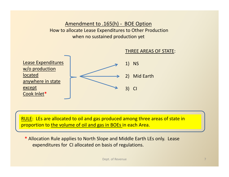Amendment to .165(h) ‐ BOE Option How to allocate Lease Expenditures to Other Production when no sustained production yet



RULE: LEs are allocated to oil and gas produced among three areas of state in proportion to the volume of oil and gas in BOEs in each Area.

**\*** Allocation Rule applies to North Slope and Middle Earth LEs only. Lease expenditures for CI allocated on basis of regulations.